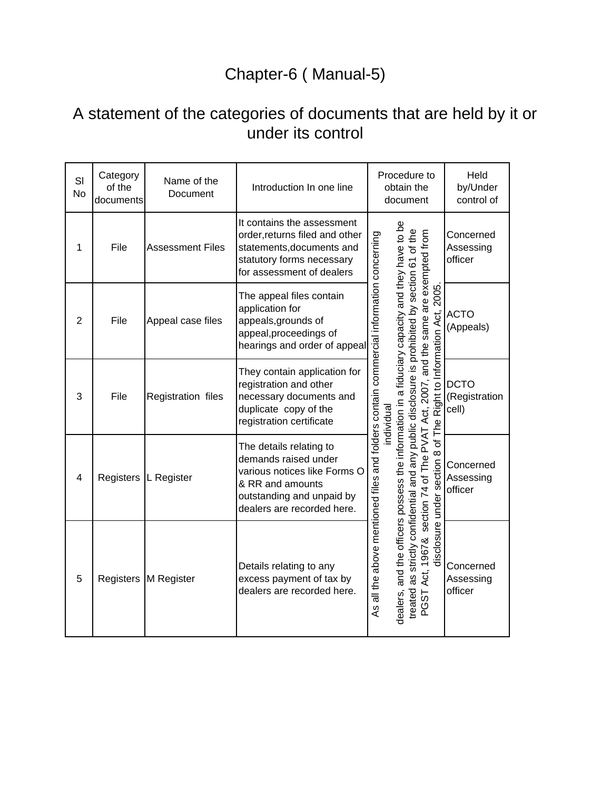## Chapter-6 ( Manual-5)

## A statement of the categories of documents that are held by it or under its control

| SI<br><b>No</b> | Category<br>of the<br>documents | Name of the<br>Document | Introduction In one line                                                                                                                                       | Procedure to<br>Held<br>by/Under<br>obtain the<br>document<br>control of                                                                                                                                                                                            |
|-----------------|---------------------------------|-------------------------|----------------------------------------------------------------------------------------------------------------------------------------------------------------|---------------------------------------------------------------------------------------------------------------------------------------------------------------------------------------------------------------------------------------------------------------------|
| 1               | File                            | <b>Assessment Files</b> | It contains the assessment<br>order, returns filed and other<br>statements, documents and<br>statutory forms necessary<br>for assessment of dealers            | Concerned<br>Assessing<br>officer                                                                                                                                                                                                                                   |
| $\overline{2}$  | File                            | Appeal case files       | The appeal files contain<br>application for<br>appeals, grounds of<br>appeal, proceedings of<br>hearings and order of appeal                                   | <b>ACTO</b><br>(Appeals)                                                                                                                                                                                                                                            |
| 3               | File                            | Registration files      | They contain application for<br>registration and other<br>necessary documents and<br>duplicate copy of the<br>registration certificate                         | of The Right to Information Act, 2005.<br><b>DCTO</b><br>(Registration<br>ndividual<br>cell)                                                                                                                                                                        |
| 4               | Registers                       | L Register              | The details relating to<br>demands raised under<br>various notices like Forms O<br>& RR and amounts<br>outstanding and unpaid by<br>dealers are recorded here. | strictly confidential and any public disclosure is prohibited by section 61 of the<br>section 74 of The PVAT Act, 2007, and the same are exempted from<br>disclosure under section 8<br>Concerned<br>Assessing<br>officer                                           |
| 5               |                                 | Registers M Register    | Details relating to any<br>excess payment of tax by<br>dealers are recorded here.                                                                              | dealers, and the officers possess the information in a fiduciary capacity and they have to be<br>As all the above mentioned files and folders contain commercial information concerning<br>Act, 1967&<br>Concerned<br>as<br>Assessing<br>officer<br>treated<br>PGST |